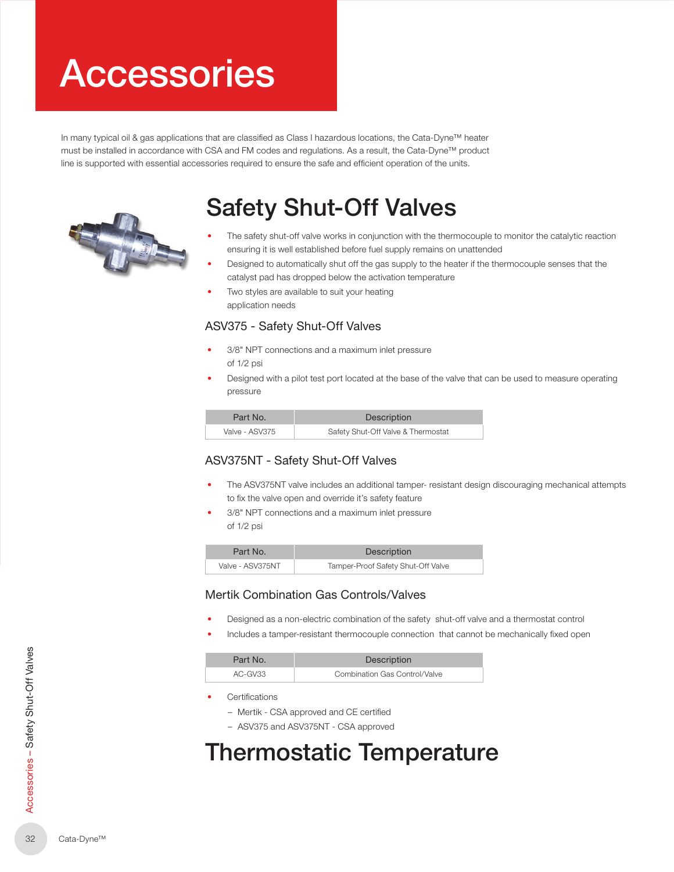# Accessories

In many typical oil & gas applications that are classified as Class I hazardous locations, the Cata-Dyne™ heater must be installed in accordance with CSA and FM codes and regulations. As a result, the Cata-Dyne™ product line is supported with essential accessories required to ensure the safe and efficient operation of the units.



# Safety Shut-Off Valves

- The safety shut-off valve works in conjunction with the thermocouple to monitor the catalytic reaction ensuring it is well established before fuel supply remains on unattended
- Designed to automatically shut off the gas supply to the heater if the thermocouple senses that the catalyst pad has dropped below the activation temperature
- Two styles are available to suit your heating application needs

#### ASV375 - Safety Shut-Off Valves

- 3/8" NPT connections and a maximum inlet pressure of 1/2 psi
- Designed with a pilot test port located at the base of the valve that can be used to measure operating pressure

| Part No.       | Description                        |
|----------------|------------------------------------|
| Valve - ASV375 | Safety Shut-Off Valve & Thermostat |

#### ASV375NT - Safety Shut-Off Valves

- The ASV375NT valve includes an additional tamper- resistant design discouraging mechanical attempts to fix the valve open and override it's safety feature
- 3/8" NPT connections and a maximum inlet pressure of 1/2 psi

| Part No.         | Description                        |
|------------------|------------------------------------|
| Valve - ASV375NT | Tamper-Proof Safety Shut-Off Valve |

#### Mertik Combination Gas Controls/Valves

- Designed as a non-electric combination of the safety shut-off valve and a thermostat control
- Includes a tamper-resistant thermocouple connection that cannot be mechanically fixed open

| Part No.  | Description                   |
|-----------|-------------------------------|
| $AC-GV33$ | Combination Gas Control/Valve |

- **Certifications** 
	- Mertik CSA approved and CE certified
	- ASV375 and ASV375NT CSA approved

### Thermostatic Temperature